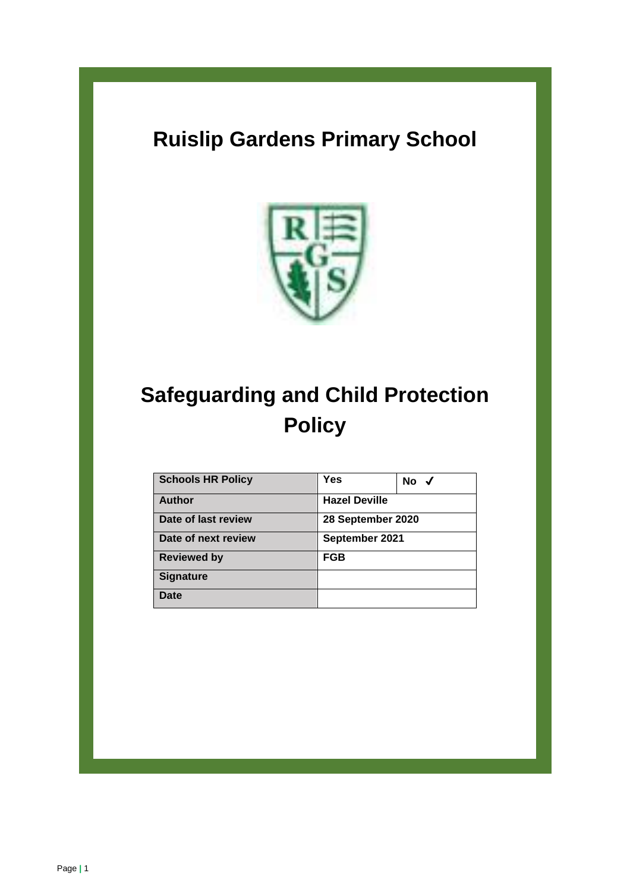# **Ruislip Gardens Primary School**



# **Safeguarding and Child Protection Policy**

| <b>Schools HR Policy</b> | Yes                  | No $\checkmark$ |
|--------------------------|----------------------|-----------------|
| <b>Author</b>            | <b>Hazel Deville</b> |                 |
| Date of last review      | 28 September 2020    |                 |
| Date of next review      | September 2021       |                 |
| <b>Reviewed by</b>       | FGB                  |                 |
| <b>Signature</b>         |                      |                 |
| Date                     |                      |                 |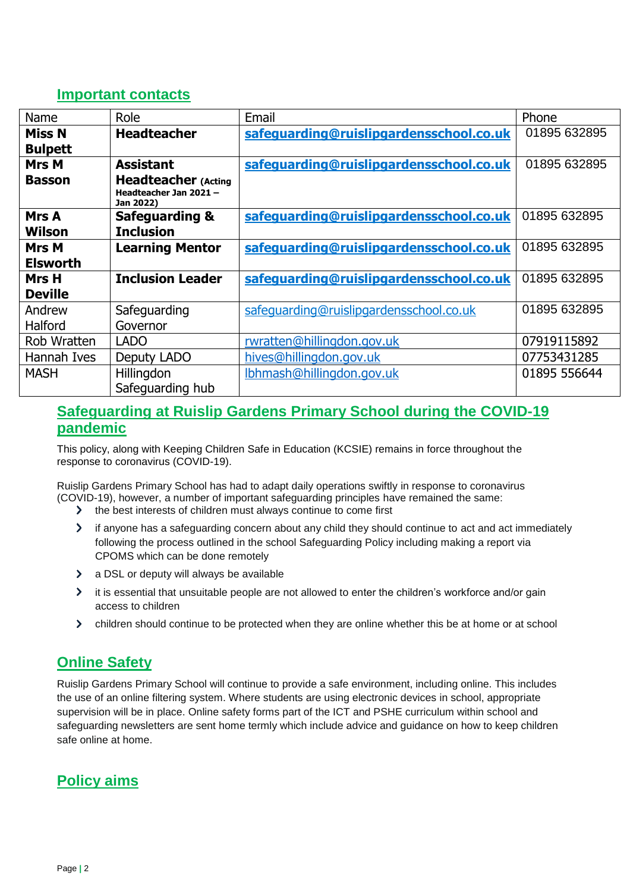### **Important contacts**

| Name            | Role                                                              | Email                                   | Phone        |
|-----------------|-------------------------------------------------------------------|-----------------------------------------|--------------|
| <b>Miss N</b>   | <b>Headteacher</b>                                                | safeguarding@ruislipgardensschool.co.uk | 01895 632895 |
| <b>Bulpett</b>  |                                                                   |                                         |              |
| <b>Mrs M</b>    | <b>Assistant</b>                                                  | safeguarding@ruislipgardensschool.co.uk | 01895 632895 |
| <b>Basson</b>   | <b>Headteacher (Acting</b><br>Headteacher Jan 2021 -<br>Jan 2022) |                                         |              |
| Mrs A<br>Wilson | <b>Safeguarding &amp;</b><br><b>Inclusion</b>                     | safeguarding@ruislipgardensschool.co.uk | 01895 632895 |
| <b>Mrs M</b>    | <b>Learning Mentor</b>                                            | safeguarding@ruislipgardensschool.co.uk | 01895 632895 |
| <b>Elsworth</b> |                                                                   |                                         |              |
| Mrs H           | <b>Inclusion Leader</b>                                           | safeguarding@ruislipgardensschool.co.uk | 01895 632895 |
| <b>Deville</b>  |                                                                   |                                         |              |
| Andrew          | Safeguarding                                                      | safeguarding@ruislipgardensschool.co.uk | 01895 632895 |
| Halford         | Governor                                                          |                                         |              |
| Rob Wratten     | <b>LADO</b>                                                       | rwratten@hillingdon.gov.uk              | 07919115892  |
| Hannah Ives     | Deputy LADO                                                       | hives@hillingdon.gov.uk                 | 07753431285  |
| <b>MASH</b>     | Hillingdon                                                        | Ibhmash@hillingdon.gov.uk               | 01895 556644 |
|                 | Safeguarding hub                                                  |                                         |              |

# **Safeguarding at Ruislip Gardens Primary School during the COVID-19 pandemic**

This policy, along with Keeping Children Safe in Education (KCSIE) remains in force throughout the response to coronavirus (COVID-19).

Ruislip Gardens Primary School has had to adapt daily operations swiftly in response to coronavirus (COVID-19), however, a number of important safeguarding principles have remained the same:

- > the best interests of children must always continue to come first
- > if anyone has a safeguarding concern about any child they should continue to act and act immediately following the process outlined in the school Safeguarding Policy including making a report via CPOMS which can be done remotely
- a DSL or deputy will always be available
- It is essential that unsuitable people are not allowed to enter the children's workforce and/or gain access to children
- children should continue to be protected when they are online whether this be at home or at school

# **Online Safety**

Ruislip Gardens Primary School will continue to provide a safe environment, including online. This includes the use of an online filtering system. Where students are using electronic devices in school, appropriate supervision will be in place. Online safety forms part of the ICT and PSHE curriculum within school and safeguarding newsletters are sent home termly which include advice and guidance on how to keep children safe online at home.

# **Policy aims**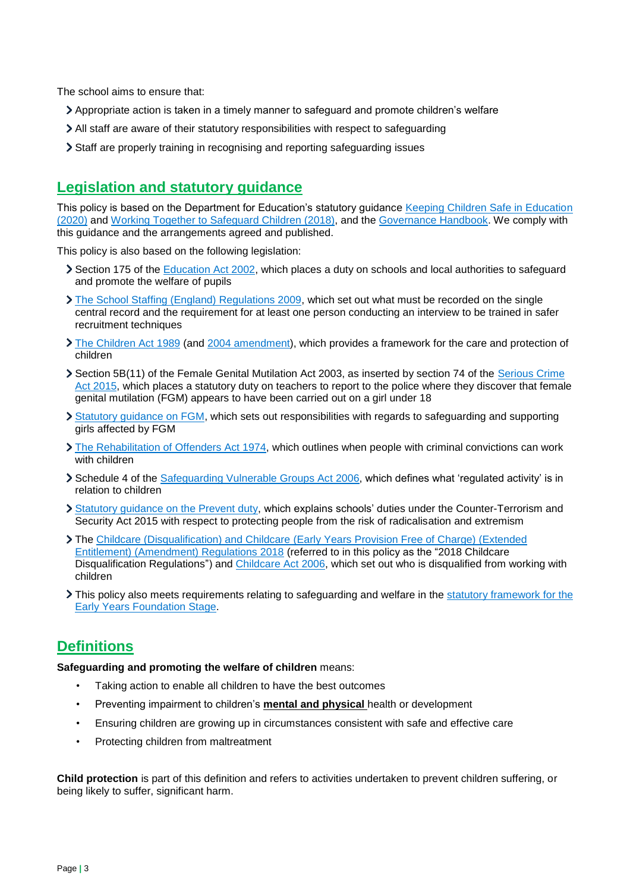The school aims to ensure that:

- Appropriate action is taken in a timely manner to safeguard and promote children's welfare
- All staff are aware of their statutory responsibilities with respect to safeguarding
- Staff are properly training in recognising and reporting safeguarding issues

# **Legislation and statutory guidance**

This policy is based on the Department for Education's statutory guidance [Keeping Children Safe in Education](https://www.gov.uk/government/publications/keeping-children-safe-in-education--2)  [\(2020\)](https://www.gov.uk/government/publications/keeping-children-safe-in-education--2) and [Working Together to Safeguard Children \(2018\),](https://www.gov.uk/government/publications/working-together-to-safeguard-children--2) and the [Governance Handbook.](https://www.gov.uk/government/publications/governance-handbook) We comply with this guidance and the arrangements agreed and published.

This policy is also based on the following legislation:

- Section 175 of the [Education Act 2002,](http://www.legislation.gov.uk/ukpga/2002/32/section/175) which places a duty on schools and local authorities to safeguard and promote the welfare of pupils
- [The School Staffing \(England\) Regulations 2009,](http://www.legislation.gov.uk/uksi/2009/2680/contents/made) which set out what must be recorded on the single central record and the requirement for at least one person conducting an interview to be trained in safer recruitment techniques
- [The Children Act 1989](http://www.legislation.gov.uk/ukpga/1989/41) (and [2004 amendment\)](http://www.legislation.gov.uk/ukpga/2004/31/contents), which provides a framework for the care and protection of children
- Section 5B(11) of the Female Genital Mutilation Act 2003, as inserted by section 74 of the Serious Crime [Act 2015,](http://www.legislation.gov.uk/ukpga/2015/9/part/5/crossheading/female-genital-mutilation) which places a statutory duty on teachers to report to the police where they discover that female genital mutilation (FGM) appears to have been carried out on a girl under 18
- [Statutory guidance on FGM,](https://www.gov.uk/government/publications/multi-agency-statutory-guidance-on-female-genital-mutilation) which sets out responsibilities with regards to safeguarding and supporting girls affected by FGM
- [The Rehabilitation of Offenders Act 1974,](http://www.legislation.gov.uk/ukpga/1974/53) which outlines when people with criminal convictions can work with children
- Schedule 4 of the [Safeguarding Vulnerable Groups Act 2006,](http://www.legislation.gov.uk/ukpga/2006/47/schedule/4) which defines what 'regulated activity' is in relation to children
- [Statutory guidance on the Prevent duty,](https://www.gov.uk/government/publications/prevent-duty-guidance) which explains schools' duties under the Counter-Terrorism and Security Act 2015 with respect to protecting people from the risk of radicalisation and extremism
- The Childcare (Disqualification) and Childcare [\(Early Years Provision Free of Charge\) \(Extended](http://www.legislation.gov.uk/uksi/2018/794/contents/made)  [Entitlement\) \(Amendment\) Regulations 2018](http://www.legislation.gov.uk/uksi/2018/794/contents/made) (referred to in this policy as the "2018 Childcare Disqualification Regulations") and [Childcare Act 2006,](http://www.legislation.gov.uk/ukpga/2006/21/contents) which set out who is disqualified from working with children
- If This policy also meets requirements relating to safeguarding and welfare in the statutory framework for the [Early Years Foundation Stage.](https://www.gov.uk/government/publications/early-years-foundation-stage-framework--2)

# **Definitions**

**Safeguarding and promoting the welfare of children** means:

- Taking action to enable all children to have the best outcomes
- Preventing impairment to children's **mental and physical** health or development
- Ensuring children are growing up in circumstances consistent with safe and effective care
- Protecting children from maltreatment

**Child protection** is part of this definition and refers to activities undertaken to prevent children suffering, or being likely to suffer, significant harm.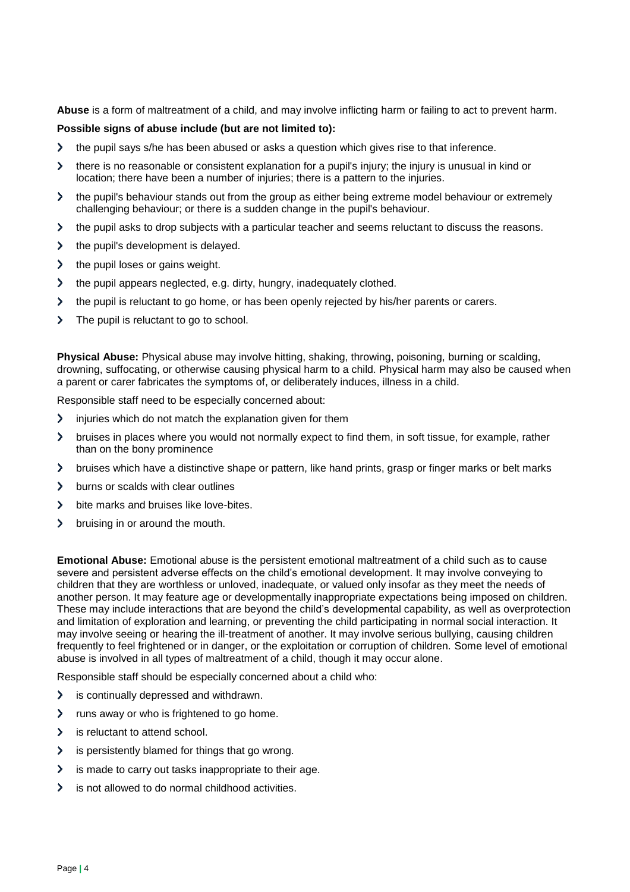**Abuse** is a form of maltreatment of a child, and may involve inflicting harm or failing to act to prevent harm.

#### **Possible signs of abuse include (but are not limited to):**

- the pupil says s/he has been abused or asks a question which gives rise to that inference.  $\mathbf{\Sigma}$
- $\blacktriangleright$ there is no reasonable or consistent explanation for a pupil's injury; the injury is unusual in kind or location; there have been a number of injuries; there is a pattern to the injuries.
- the pupil's behaviour stands out from the group as either being extreme model behaviour or extremely  $\blacktriangleright$ challenging behaviour; or there is a sudden change in the pupil's behaviour.
- the pupil asks to drop subjects with a particular teacher and seems reluctant to discuss the reasons.  $\blacktriangleright$
- the pupil's development is delayed.  $\blacktriangleright$
- $\mathbf{\lambda}$ the pupil loses or gains weight.
- $\mathbf{\Sigma}$ the pupil appears neglected, e.g. dirty, hungry, inadequately clothed.
- $\overline{\phantom{0}}$ the pupil is reluctant to go home, or has been openly rejected by his/her parents or carers.
- $\blacktriangleright$ The pupil is reluctant to go to school.

**Physical Abuse:** Physical abuse may involve hitting, shaking, throwing, poisoning, burning or scalding, drowning, suffocating, or otherwise causing physical harm to a child. Physical harm may also be caused when a parent or carer fabricates the symptoms of, or deliberately induces, illness in a child.

Responsible staff need to be especially concerned about:

- $\blacktriangleright$ injuries which do not match the explanation given for them
- bruises in places where you would not normally expect to find them, in soft tissue, for example, rather  $\blacktriangleright$ than on the bony prominence
- $\blacktriangleright$ bruises which have a distinctive shape or pattern, like hand prints, grasp or finger marks or belt marks
- burns or scalds with clear outlines  $\blacktriangleright$
- $\mathbf{\Sigma}$ bite marks and bruises like love-bites.
- $\mathbf{\lambda}$ bruising in or around the mouth.

**Emotional Abuse:** Emotional abuse is the persistent emotional maltreatment of a child such as to cause severe and persistent adverse effects on the child's emotional development. It may involve conveying to children that they are worthless or unloved, inadequate, or valued only insofar as they meet the needs of another person. It may feature age or developmentally inappropriate expectations being imposed on children. These may include interactions that are beyond the child's developmental capability, as well as overprotection and limitation of exploration and learning, or preventing the child participating in normal social interaction. It may involve seeing or hearing the ill-treatment of another. It may involve serious bullying, causing children frequently to feel frightened or in danger, or the exploitation or corruption of children. Some level of emotional abuse is involved in all types of maltreatment of a child, though it may occur alone.

Responsible staff should be especially concerned about a child who:

- $\mathbf{\Sigma}$ is continually depressed and withdrawn.
- runs away or who is frightened to go home.  $\mathbf \lambda$
- $\blacktriangleright$ is reluctant to attend school.
- $\overline{\phantom{0}}$ is persistently blamed for things that go wrong.
- is made to carry out tasks inappropriate to their age.  $\mathbf{\mathbf{b}}$
- $\blacktriangleright$ is not allowed to do normal childhood activities.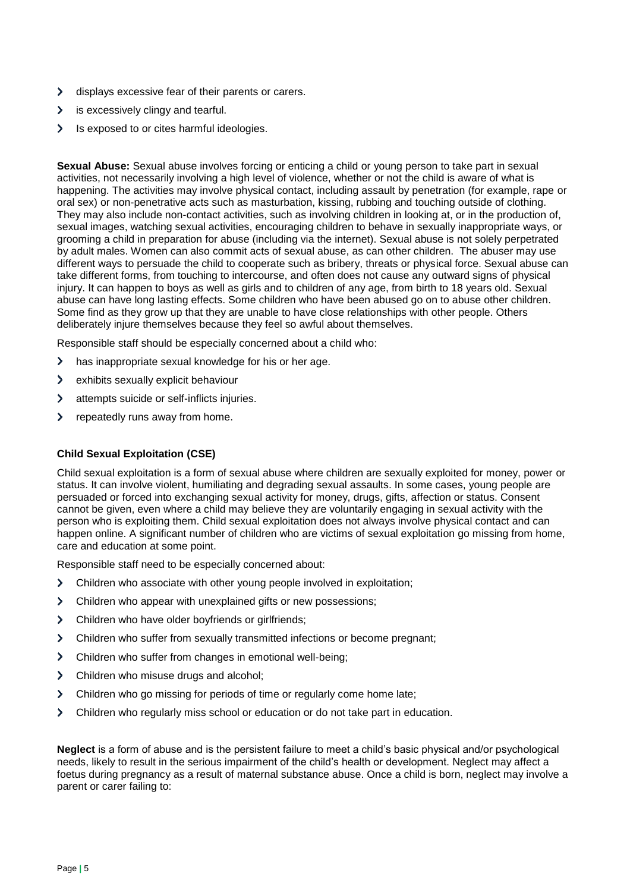- $\blacktriangleright$ displays excessive fear of their parents or carers.
- $\mathbf{\Sigma}$ is excessively clingy and tearful.
- $\mathbf{\Sigma}$ Is exposed to or cites harmful ideologies.

**Sexual Abuse:** Sexual abuse involves forcing or enticing a child or young person to take part in sexual activities, not necessarily involving a high level of violence, whether or not the child is aware of what is happening. The activities may involve physical contact, including assault by penetration (for example, rape or oral sex) or non-penetrative acts such as masturbation, kissing, rubbing and touching outside of clothing. They may also include non-contact activities, such as involving children in looking at, or in the production of, sexual images, watching sexual activities, encouraging children to behave in sexually inappropriate ways, or grooming a child in preparation for abuse (including via the internet). Sexual abuse is not solely perpetrated by adult males. Women can also commit acts of sexual abuse, as can other children.The abuser may use different ways to persuade the child to cooperate such as bribery, threats or physical force. Sexual abuse can take different forms, from touching to intercourse, and often does not cause any outward signs of physical injury. It can happen to boys as well as girls and to children of any age, from birth to 18 years old. Sexual abuse can have long lasting effects. Some children who have been abused go on to abuse other children. Some find as they grow up that they are unable to have close relationships with other people. Others deliberately injure themselves because they feel so awful about themselves.

Responsible staff should be especially concerned about a child who:

- $\overline{\phantom{0}}$ has inappropriate sexual knowledge for his or her age.
- $\mathbf{\Sigma}$ exhibits sexually explicit behaviour
- $\mathbf{\Sigma}$ attempts suicide or self-inflicts injuries.
- $\blacktriangleright$ repeatedly runs away from home.

#### **Child Sexual Exploitation (CSE)**

Child sexual exploitation is a form of sexual abuse where children are sexually exploited for money, power or status. It can involve violent, humiliating and degrading sexual assaults. In some cases, young people are persuaded or forced into exchanging sexual activity for money, drugs, gifts, affection or status. Consent cannot be given, even where a child may believe they are voluntarily engaging in sexual activity with the person who is exploiting them. Child sexual exploitation does not always involve physical contact and can happen online. A significant number of children who are victims of sexual exploitation go missing from home, care and education at some point.

Responsible staff need to be especially concerned about:

- $\mathbf{\Sigma}$ Children who associate with other young people involved in exploitation;
- $\blacktriangleright$ Children who appear with unexplained gifts or new possessions;
- $\blacktriangleright$ Children who have older boyfriends or girlfriends;
- Children who suffer from sexually transmitted infections or become pregnant;  $\blacktriangleright$
- $\mathbf{\Sigma}$ Children who suffer from changes in emotional well-being;
- Children who misuse drugs and alcohol;  $\blacktriangleright$
- $\mathbf{\Sigma}$ Children who go missing for periods of time or regularly come home late;
- $\geq$ Children who regularly miss school or education or do not take part in education.

**Neglect** is a form of abuse and is the persistent failure to meet a child's basic physical and/or psychological needs, likely to result in the serious impairment of the child's health or development. Neglect may affect a foetus during pregnancy as a result of maternal substance abuse. Once a child is born, neglect may involve a parent or carer failing to: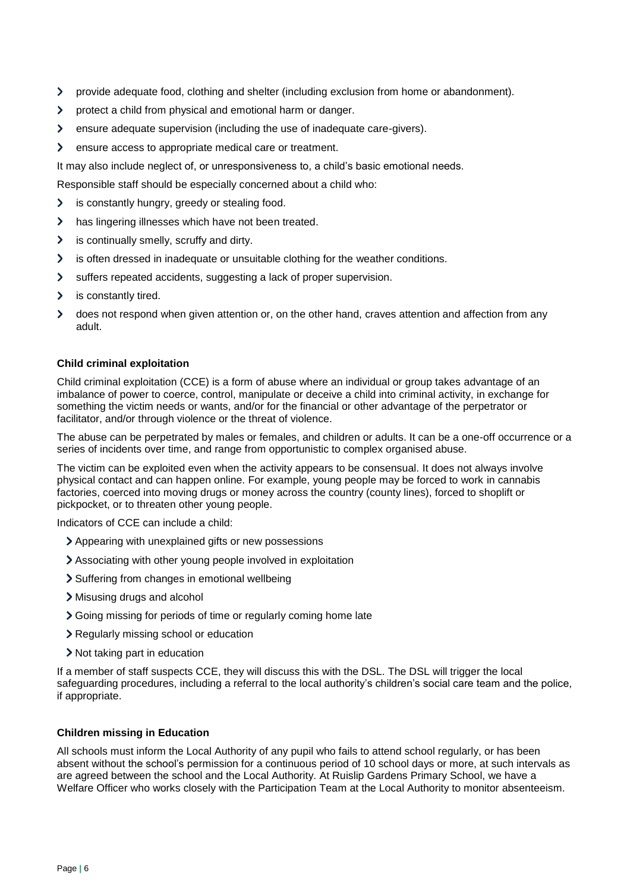- $\mathbf{\Sigma}$ provide adequate food, clothing and shelter (including exclusion from home or abandonment).
- $\mathbf{\Sigma}$ protect a child from physical and emotional harm or danger.
- $\mathbf{\Sigma}$ ensure adequate supervision (including the use of inadequate care-givers).
- $\mathbf{\Sigma}$ ensure access to appropriate medical care or treatment.

It may also include neglect of, or unresponsiveness to, a child's basic emotional needs.

Responsible staff should be especially concerned about a child who:

- is constantly hungry, greedy or stealing food.  $\mathbf{\Sigma}$
- has lingering illnesses which have not been treated.  $\mathbf{\mathcal{P}}$
- is continually smelly, scruffy and dirty.  $\blacktriangleright$
- is often dressed in inadequate or unsuitable clothing for the weather conditions.  $\mathbf{\Sigma}$
- $\mathbf{\lambda}$ suffers repeated accidents, suggesting a lack of proper supervision.
- is constantly tired.  $\blacktriangleright$
- does not respond when given attention or, on the other hand, craves attention and affection from any  $\blacktriangleright$ adult.

#### **Child criminal exploitation**

Child criminal exploitation (CCE) is a form of abuse where an individual or group takes advantage of an imbalance of power to coerce, control, manipulate or deceive a child into criminal activity, in exchange for something the victim needs or wants, and/or for the financial or other advantage of the perpetrator or facilitator, and/or through violence or the threat of violence.

The abuse can be perpetrated by males or females, and children or adults. It can be a one-off occurrence or a series of incidents over time, and range from opportunistic to complex organised abuse.

The victim can be exploited even when the activity appears to be consensual. It does not always involve physical contact and can happen online. For example, young people may be forced to work in cannabis factories, coerced into moving drugs or money across the country (county lines), forced to shoplift or pickpocket, or to threaten other young people.

Indicators of CCE can include a child:

- Appearing with unexplained gifts or new possessions
- Associating with other young people involved in exploitation
- > Suffering from changes in emotional wellbeing
- Misusing drugs and alcohol
- Sooing missing for periods of time or regularly coming home late
- Regularly missing school or education
- Not taking part in education

If a member of staff suspects CCE, they will discuss this with the DSL. The DSL will trigger the local safeguarding procedures, including a referral to the local authority's children's social care team and the police, if appropriate.

#### **Children missing in Education**

All schools must inform the Local Authority of any pupil who fails to attend school regularly, or has been absent without the school's permission for a continuous period of 10 school days or more, at such intervals as are agreed between the school and the Local Authority. At Ruislip Gardens Primary School, we have a Welfare Officer who works closely with the Participation Team at the Local Authority to monitor absenteeism.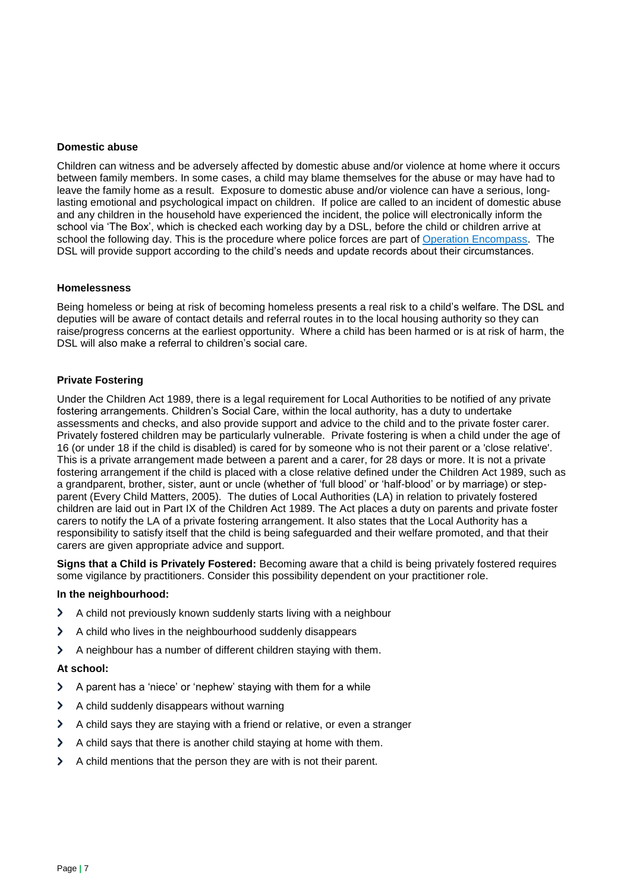#### **Domestic abuse**

Children can witness and be adversely affected by domestic abuse and/or violence at home where it occurs between family members. In some cases, a child may blame themselves for the abuse or may have had to leave the family home as a result. Exposure to domestic abuse and/or violence can have a serious, longlasting emotional and psychological impact on children. If police are called to an incident of domestic abuse and any children in the household have experienced the incident, the police will electronically inform the school via 'The Box', which is checked each working day by a DSL, before the child or children arrive at school the following day. This is the procedure where police forces are part of [Operation Encompass.](https://www.operationencompass.org/) The DSL will provide support according to the child's needs and update records about their circumstances.

#### **Homelessness**

Being homeless or being at risk of becoming homeless presents a real risk to a child's welfare. The DSL and deputies will be aware of contact details and referral routes in to the local housing authority so they can raise/progress concerns at the earliest opportunity. Where a child has been harmed or is at risk of harm, the DSL will also make a referral to children's social care.

#### **Private Fostering**

Under the Children Act 1989, there is a legal requirement for Local Authorities to be notified of any private fostering arrangements. Children's Social Care, within the local authority, has a duty to undertake assessments and checks, and also provide support and advice to the child and to the private foster carer. Privately fostered children may be particularly vulnerable. Private fostering is when a child under the age of 16 (or under 18 if the child is disabled) is cared for by someone who is not their parent or a 'close relative'. This is a private arrangement made between a parent and a carer, for 28 days or more. It is not a private fostering arrangement if the child is placed with a close relative defined under the Children Act 1989, such as a grandparent, brother, sister, aunt or uncle (whether of 'full blood' or 'half-blood' or by marriage) or stepparent (Every Child Matters, 2005). The duties of Local Authorities (LA) in relation to privately fostered children are laid out in Part IX of the Children Act 1989. The Act places a duty on parents and private foster carers to notify the LA of a private fostering arrangement. It also states that the Local Authority has a responsibility to satisfy itself that the child is being safeguarded and their welfare promoted, and that their carers are given appropriate advice and support.

**Signs that a Child is Privately Fostered:** Becoming aware that a child is being privately fostered requires some vigilance by practitioners. Consider this possibility dependent on your practitioner role.

#### **In the neighbourhood:**

- $\blacktriangleright$ A child not previously known suddenly starts living with a neighbour
- $\mathbf{\Sigma}$ A child who lives in the neighbourhood suddenly disappears
- A neighbour has a number of different children staying with them.  $\blacktriangleright$

#### **At school:**

- A parent has a 'niece' or 'nephew' staying with them for a while  $\blacktriangleright$
- $\blacktriangleright$ A child suddenly disappears without warning
- $\blacktriangleright$ A child says they are staying with a friend or relative, or even a stranger
- A child says that there is another child staying at home with them.  $\mathbf{\mathcal{P}}$
- A child mentions that the person they are with is not their parent. $\blacktriangleright$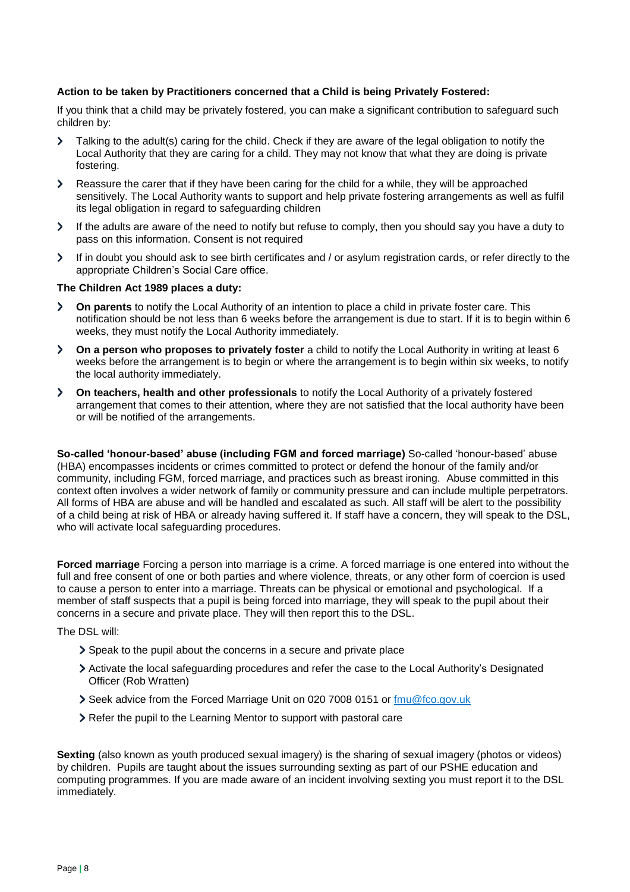#### **Action to be taken by Practitioners concerned that a Child is being Privately Fostered:**

If you think that a child may be privately fostered, you can make a significant contribution to safeguard such children by:

- Talking to the adult(s) caring for the child. Check if they are aware of the legal obligation to notify the  $\mathbf{\Sigma}$ Local Authority that they are caring for a child. They may not know that what they are doing is private fostering.
- $\blacktriangleright$ Reassure the carer that if they have been caring for the child for a while, they will be approached sensitively. The Local Authority wants to support and help private fostering arrangements as well as fulfil its legal obligation in regard to safeguarding children
- If the adults are aware of the need to notify but refuse to comply, then you should say you have a duty to  $\sum$ pass on this information. Consent is not required
- If in doubt you should ask to see birth certificates and / or asylum registration cards, or refer directly to the  $\blacktriangleright$ appropriate Children's Social Care office.

#### **The Children Act 1989 places a duty:**

- **On parents** to notify the Local Authority of an intention to place a child in private foster care. This  $\blacktriangleright$ notification should be not less than 6 weeks before the arrangement is due to start. If it is to begin within 6 weeks, they must notify the Local Authority immediately.
- $\blacktriangleright$ **On a person who proposes to privately foster** a child to notify the Local Authority in writing at least 6 weeks before the arrangement is to begin or where the arrangement is to begin within six weeks, to notify the local authority immediately.
- $\blacktriangleright$ **On teachers, health and other professionals** to notify the Local Authority of a privately fostered arrangement that comes to their attention, where they are not satisfied that the local authority have been or will be notified of the arrangements.

**So-called 'honour-based' abuse (including FGM and forced marriage)** So-called 'honour-based' abuse (HBA) encompasses incidents or crimes committed to protect or defend the honour of the family and/or community, including FGM, forced marriage, and practices such as breast ironing. Abuse committed in this context often involves a wider network of family or community pressure and can include multiple perpetrators. All forms of HBA are abuse and will be handled and escalated as such. All staff will be alert to the possibility of a child being at risk of HBA or already having suffered it. If staff have a concern, they will speak to the DSL, who will activate local safeguarding procedures.

**Forced marriage** Forcing a person into marriage is a crime. A forced marriage is one entered into without the full and free consent of one or both parties and where violence, threats, or any other form of coercion is used to cause a person to enter into a marriage. Threats can be physical or emotional and psychological. If a member of staff suspects that a pupil is being forced into marriage, they will speak to the pupil about their concerns in a secure and private place. They will then report this to the DSL.

The DSL will:

- Speak to the pupil about the concerns in a secure and private place
- Activate the local safeguarding procedures and refer the case to the Local Authority's Designated Officer (Rob Wratten)
- Seek advice from the Forced Marriage Unit on 020 7008 0151 or [fmu@fco.gov.uk](mailto:fmu@fco.gov.uk)
- Refer the pupil to the Learning Mentor to support with pastoral care

**Sexting** (also known as youth produced sexual imagery) is the sharing of sexual imagery (photos or videos) by children. Pupils are taught about the issues surrounding sexting as part of our PSHE education and computing programmes. If you are made aware of an incident involving sexting you must report it to the DSL immediately.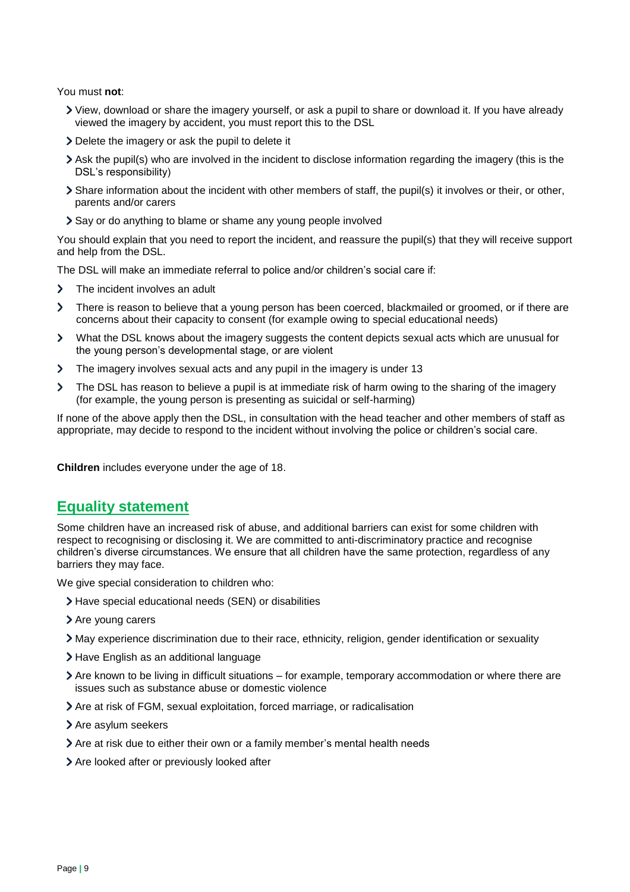You must **not**:

- View, download or share the imagery yourself, or ask a pupil to share or download it. If you have already viewed the imagery by accident, you must report this to the DSL
- Delete the imagery or ask the pupil to delete it
- Ask the pupil(s) who are involved in the incident to disclose information regarding the imagery (this is the DSL's responsibility)
- Share information about the incident with other members of staff, the pupil(s) it involves or their, or other, parents and/or carers
- Say or do anything to blame or shame any young people involved

You should explain that you need to report the incident, and reassure the pupil(s) that they will receive support and help from the DSL.

The DSL will make an immediate referral to police and/or children's social care if:

- $\blacktriangleright$ The incident involves an adult
- $\mathbf{\Sigma}$ There is reason to believe that a young person has been coerced, blackmailed or groomed, or if there are concerns about their capacity to consent (for example owing to special educational needs)
- What the DSL knows about the imagery suggests the content depicts sexual acts which are unusual for  $\blacktriangleright$ the young person's developmental stage, or are violent
- The imagery involves sexual acts and any pupil in the imagery is under 13  $\blacktriangleright$
- $\overline{\phantom{0}}$ The DSL has reason to believe a pupil is at immediate risk of harm owing to the sharing of the imagery (for example, the young person is presenting as suicidal or self-harming)

If none of the above apply then the DSL, in consultation with the head teacher and other members of staff as appropriate, may decide to respond to the incident without involving the police or children's social care.

**Children** includes everyone under the age of 18.

# **Equality statement**

Some children have an increased risk of abuse, and additional barriers can exist for some children with respect to recognising or disclosing it. We are committed to anti-discriminatory practice and recognise children's diverse circumstances. We ensure that all children have the same protection, regardless of any barriers they may face.

We give special consideration to children who:

- Have special educational needs (SEN) or disabilities
- > Are young carers
- May experience discrimination due to their race, ethnicity, religion, gender identification or sexuality
- > Have English as an additional language
- $\geq$  Are known to be living in difficult situations for example, temporary accommodation or where there are issues such as substance abuse or domestic violence
- Are at risk of FGM, sexual exploitation, forced marriage, or radicalisation
- > Are asylum seekers
- Are at risk due to either their own or a family member's mental health needs
- Are looked after or previously looked after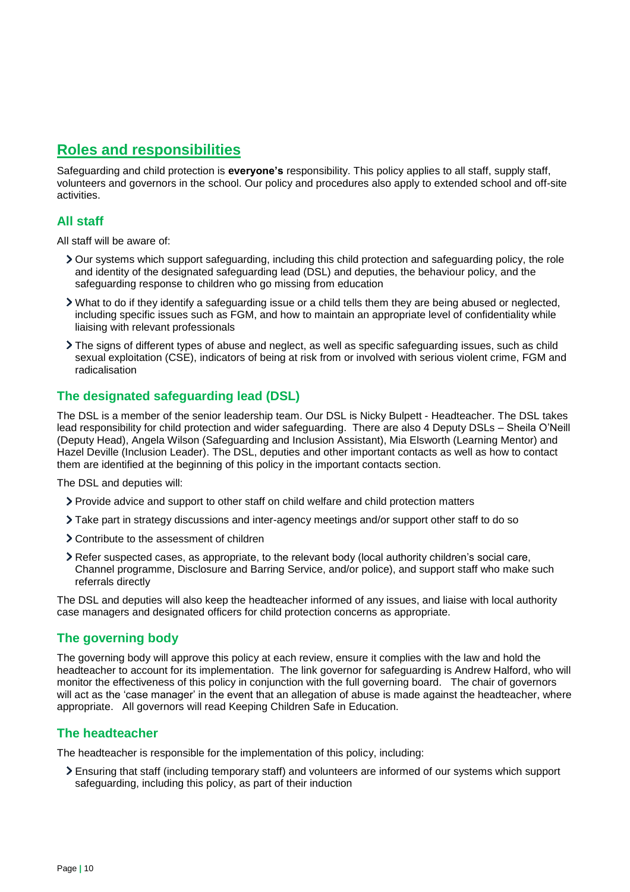### **Roles and responsibilities**

Safeguarding and child protection is **everyone's** responsibility. This policy applies to all staff, supply staff, volunteers and governors in the school. Our policy and procedures also apply to extended school and off-site activities.

### **All staff**

All staff will be aware of:

- Our systems which support safeguarding, including this child protection and safeguarding policy, the role and identity of the designated safeguarding lead (DSL) and deputies, the behaviour policy, and the safeguarding response to children who go missing from education
- What to do if they identify a safeguarding issue or a child tells them they are being abused or neglected, including specific issues such as FGM, and how to maintain an appropriate level of confidentiality while liaising with relevant professionals
- The signs of different types of abuse and neglect, as well as specific safeguarding issues, such as child sexual exploitation (CSE), indicators of being at risk from or involved with serious violent crime, FGM and radicalisation

### **The designated safeguarding lead (DSL)**

The DSL is a member of the senior leadership team. Our DSL is Nicky Bulpett - Headteacher. The DSL takes lead responsibility for child protection and wider safeguarding. There are also 4 Deputy DSLs – Sheila O'Neill (Deputy Head), Angela Wilson (Safeguarding and Inclusion Assistant), Mia Elsworth (Learning Mentor) and Hazel Deville (Inclusion Leader). The DSL, deputies and other important contacts as well as how to contact them are identified at the beginning of this policy in the important contacts section.

The DSL and deputies will:

- Provide advice and support to other staff on child welfare and child protection matters
- Take part in strategy discussions and inter-agency meetings and/or support other staff to do so
- Contribute to the assessment of children
- Refer suspected cases, as appropriate, to the relevant body (local authority children's social care, Channel programme, Disclosure and Barring Service, and/or police), and support staff who make such referrals directly

The DSL and deputies will also keep the headteacher informed of any issues, and liaise with local authority case managers and designated officers for child protection concerns as appropriate.

### **The governing body**

The governing body will approve this policy at each review, ensure it complies with the law and hold the headteacher to account for its implementation. The link governor for safeguarding is Andrew Halford, who will monitor the effectiveness of this policy in conjunction with the full governing board. The chair of governors will act as the 'case manager' in the event that an allegation of abuse is made against the headteacher, where appropriate. All governors will read Keeping Children Safe in Education.

### **The headteacher**

The headteacher is responsible for the implementation of this policy, including:

Ensuring that staff (including temporary staff) and volunteers are informed of our systems which support safeguarding, including this policy, as part of their induction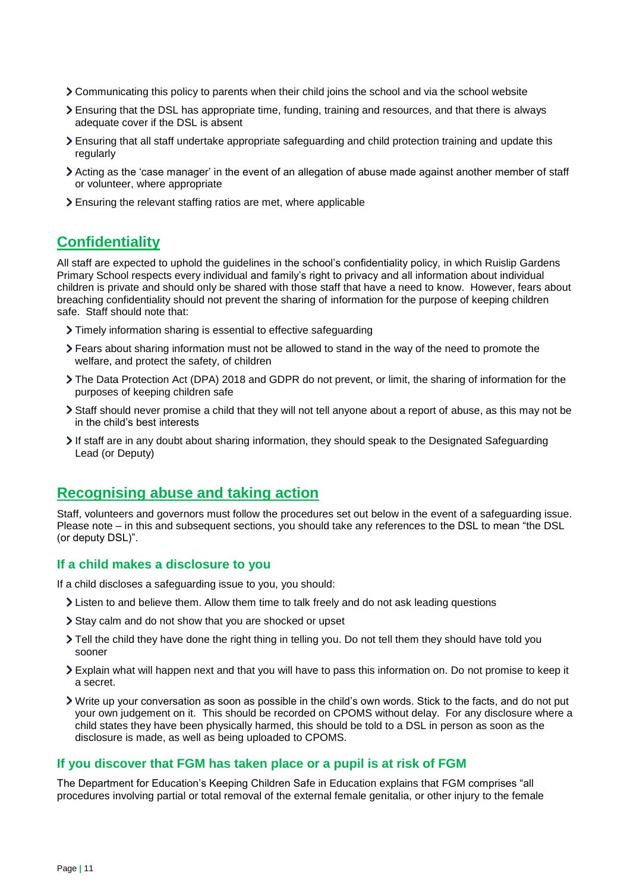- Communicating this policy to parents when their child joins the school and via the school website
- Ensuring that the DSL has appropriate time, funding, training and resources, and that there is always adequate cover if the DSL is absent
- Ensuring that all staff undertake appropriate safeguarding and child protection training and update this regularly
- Acting as the 'case manager' in the event of an allegation of abuse made against another member of staff or volunteer, where appropriate
- Ensuring the relevant staffing ratios are met, where applicable

# **Confidentiality**

All staff are expected to uphold the guidelines in the school's confidentiality policy, in which Ruislip Gardens Primary School respects every individual and family's right to privacy and all information about individual children is private and should only be shared with those staff that have a need to know. However, fears about breaching confidentiality should not prevent the sharing of information for the purpose of keeping children safe. Staff should note that:

- Timely information sharing is essential to effective safeguarding
- Fears about sharing information must not be allowed to stand in the way of the need to promote the welfare, and protect the safety, of children
- The Data Protection Act (DPA) 2018 and GDPR do not prevent, or limit, the sharing of information for the purposes of keeping children safe
- Staff should never promise a child that they will not tell anyone about a report of abuse, as this may not be in the child's best interests
- If staff are in any doubt about sharing information, they should speak to the Designated Safeguarding Lead (or Deputy)

# **Recognising abuse and taking action**

Staff, volunteers and governors must follow the procedures set out below in the event of a safeguarding issue. Please note – in this and subsequent sections, you should take any references to the DSL to mean "the DSL (or deputy DSL)".

#### **If a child makes a disclosure to you**

If a child discloses a safeguarding issue to you, you should:

- Listen to and believe them. Allow them time to talk freely and do not ask leading questions
- Stay calm and do not show that you are shocked or upset
- Tell the child they have done the right thing in telling you. Do not tell them they should have told you sooner
- Explain what will happen next and that you will have to pass this information on. Do not promise to keep it a secret.
- Write up your conversation as soon as possible in the child's own words. Stick to the facts, and do not put your own judgement on it. This should be recorded on CPOMS without delay. For any disclosure where a child states they have been physically harmed, this should be told to a DSL in person as soon as the disclosure is made, as well as being uploaded to CPOMS.

#### **If you discover that FGM has taken place or a pupil is at risk of FGM**

The Department for Education's Keeping Children Safe in Education explains that FGM comprises "all procedures involving partial or total removal of the external female genitalia, or other injury to the female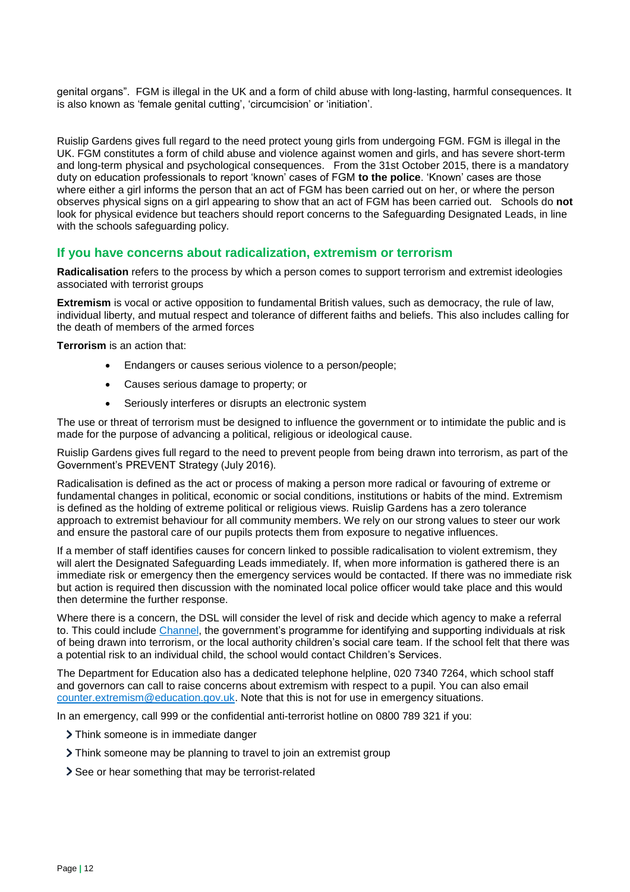genital organs". FGM is illegal in the UK and a form of child abuse with long-lasting, harmful consequences. It is also known as 'female genital cutting', 'circumcision' or 'initiation'.

Ruislip Gardens gives full regard to the need protect young girls from undergoing FGM. FGM is illegal in the UK. FGM constitutes a form of child abuse and violence against women and girls, and has severe short-term and long-term physical and psychological consequences. From the 31st October 2015, there is a mandatory duty on education professionals to report 'known' cases of FGM **to the police**. 'Known' cases are those where either a girl informs the person that an act of FGM has been carried out on her, or where the person observes physical signs on a girl appearing to show that an act of FGM has been carried out. Schools do **not**  look for physical evidence but teachers should report concerns to the Safeguarding Designated Leads, in line with the schools safeguarding policy.

#### **If you have concerns about radicalization, extremism or terrorism**

**Radicalisation** refers to the process by which a person comes to support terrorism and extremist ideologies associated with terrorist groups

**Extremism** is vocal or active opposition to fundamental British values, such as democracy, the rule of law, individual liberty, and mutual respect and tolerance of different faiths and beliefs. This also includes calling for the death of members of the armed forces

**Terrorism** is an action that:

- Endangers or causes serious violence to a person/people;
- Causes serious damage to property; or
- Seriously interferes or disrupts an electronic system

The use or threat of terrorism must be designed to influence the government or to intimidate the public and is made for the purpose of advancing a political, religious or ideological cause.

Ruislip Gardens gives full regard to the need to prevent people from being drawn into terrorism, as part of the Government's PREVENT Strategy (July 2016).

Radicalisation is defined as the act or process of making a person more radical or favouring of extreme or fundamental changes in political, economic or social conditions, institutions or habits of the mind. Extremism is defined as the holding of extreme political or religious views. Ruislip Gardens has a zero tolerance approach to extremist behaviour for all community members. We rely on our strong values to steer our work and ensure the pastoral care of our pupils protects them from exposure to negative influences.

If a member of staff identifies causes for concern linked to possible radicalisation to violent extremism, they will alert the Designated Safeguarding Leads immediately. If, when more information is gathered there is an immediate risk or emergency then the emergency services would be contacted. If there was no immediate risk but action is required then discussion with the nominated local police officer would take place and this would then determine the further response.

Where there is a concern, the DSL will consider the level of risk and decide which agency to make a referral to. This could include [Channel,](https://www.gov.uk/government/publications/channel-guidance) the government's programme for identifying and supporting individuals at risk of being drawn into terrorism, or the local authority children's social care team. If the school felt that there was a potential risk to an individual child, the school would contact Children's Services.

The Department for Education also has a dedicated telephone helpline, 020 7340 7264, which school staff and governors can call to raise concerns about extremism with respect to a pupil. You can also email [counter.extremism@education.gov.uk.](mailto:counter.extremism@education.gov.uk) Note that this is not for use in emergency situations.

In an emergency, call 999 or the confidential anti-terrorist hotline on 0800 789 321 if you:

> Think someone is in immediate danger

- Think someone may be planning to travel to join an extremist group
- > See or hear something that may be terrorist-related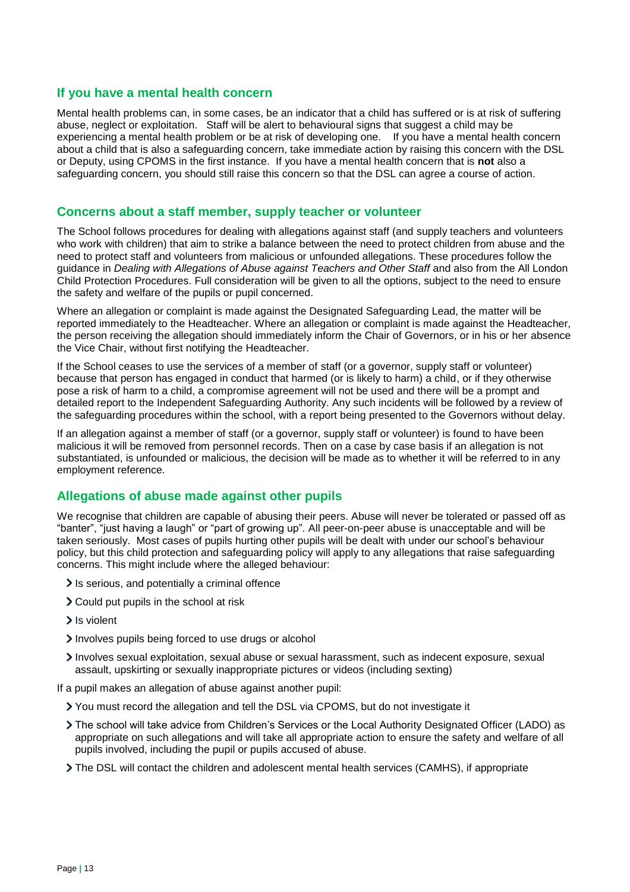#### **If you have a mental health concern**

Mental health problems can, in some cases, be an indicator that a child has suffered or is at risk of suffering abuse, neglect or exploitation. Staff will be alert to behavioural signs that suggest a child may be experiencing a mental health problem or be at risk of developing one. If you have a mental health concern about a child that is also a safeguarding concern, take immediate action by raising this concern with the DSL or Deputy, using CPOMS in the first instance. If you have a mental health concern that is **not** also a safeguarding concern, you should still raise this concern so that the DSL can agree a course of action.

#### **Concerns about a staff member, supply teacher or volunteer**

The School follows procedures for dealing with allegations against staff (and supply teachers and volunteers who work with children) that aim to strike a balance between the need to protect children from abuse and the need to protect staff and volunteers from malicious or unfounded allegations. These procedures follow the guidance in *Dealing with Allegations of Abuse against Teachers and Other Staff* and also from the All London Child Protection Procedures. Full consideration will be given to all the options, subject to the need to ensure the safety and welfare of the pupils or pupil concerned.

Where an allegation or complaint is made against the Designated Safeguarding Lead, the matter will be reported immediately to the Headteacher. Where an allegation or complaint is made against the Headteacher, the person receiving the allegation should immediately inform the Chair of Governors, or in his or her absence the Vice Chair, without first notifying the Headteacher.

If the School ceases to use the services of a member of staff (or a governor, supply staff or volunteer) because that person has engaged in conduct that harmed (or is likely to harm) a child, or if they otherwise pose a risk of harm to a child, a compromise agreement will not be used and there will be a prompt and detailed report to the Independent Safeguarding Authority. Any such incidents will be followed by a review of the safeguarding procedures within the school, with a report being presented to the Governors without delay.

If an allegation against a member of staff (or a governor, supply staff or volunteer) is found to have been malicious it will be removed from personnel records. Then on a case by case basis if an allegation is not substantiated, is unfounded or malicious, the decision will be made as to whether it will be referred to in any employment reference.

### **Allegations of abuse made against other pupils**

We recognise that children are capable of abusing their peers. Abuse will never be tolerated or passed off as "banter", "just having a laugh" or "part of growing up". All peer-on-peer abuse is unacceptable and will be taken seriously. Most cases of pupils hurting other pupils will be dealt with under our school's behaviour policy, but this child protection and safeguarding policy will apply to any allegations that raise safeguarding concerns. This might include where the alleged behaviour:

- If is serious, and potentially a criminal offence
- Could put pupils in the school at risk
- > Is violent
- Involves pupils being forced to use drugs or alcohol
- Involves sexual exploitation, sexual abuse or sexual harassment, such as indecent exposure, sexual assault, upskirting or sexually inappropriate pictures or videos (including sexting)
- If a pupil makes an allegation of abuse against another pupil:
	- You must record the allegation and tell the DSL via CPOMS, but do not investigate it
	- The school will take advice from Children's Services or the Local Authority Designated Officer (LADO) as appropriate on such allegations and will take all appropriate action to ensure the safety and welfare of all pupils involved, including the pupil or pupils accused of abuse.
	- The DSL will contact the children and adolescent mental health services (CAMHS), if appropriate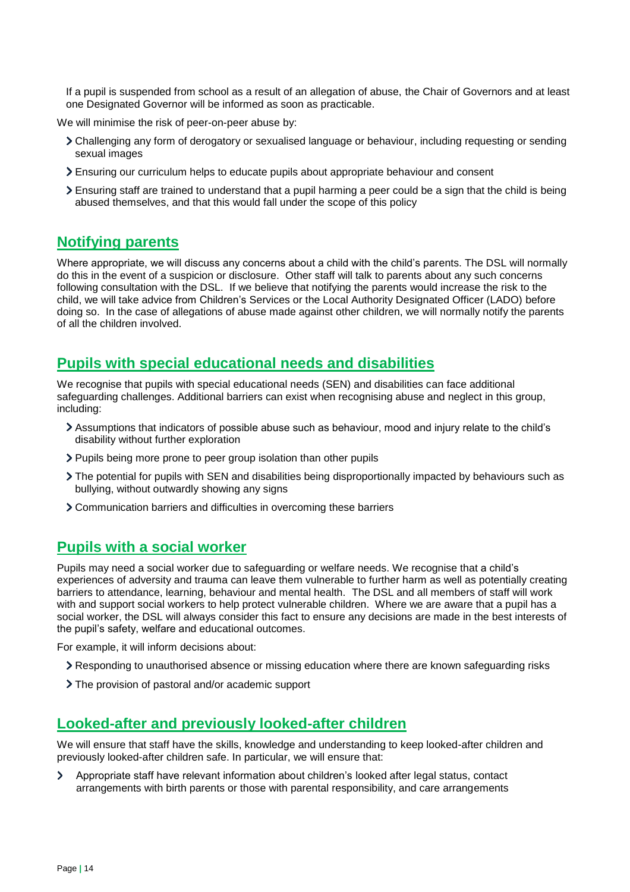If a pupil is suspended from school as a result of an allegation of abuse, the Chair of Governors and at least one Designated Governor will be informed as soon as practicable.

We will minimise the risk of peer-on-peer abuse by:

- Challenging any form of derogatory or sexualised language or behaviour, including requesting or sending sexual images
- Ensuring our curriculum helps to educate pupils about appropriate behaviour and consent
- Ensuring staff are trained to understand that a pupil harming a peer could be a sign that the child is being abused themselves, and that this would fall under the scope of this policy

### **Notifying parents**

Where appropriate, we will discuss any concerns about a child with the child's parents. The DSL will normally do this in the event of a suspicion or disclosure. Other staff will talk to parents about any such concerns following consultation with the DSL. If we believe that notifying the parents would increase the risk to the child, we will take advice from Children's Services or the Local Authority Designated Officer (LADO) before doing so. In the case of allegations of abuse made against other children, we will normally notify the parents of all the children involved.

### **Pupils with special educational needs and disabilities**

We recognise that pupils with special educational needs (SEN) and disabilities can face additional safeguarding challenges. Additional barriers can exist when recognising abuse and neglect in this group, including:

- Assumptions that indicators of possible abuse such as behaviour, mood and injury relate to the child's disability without further exploration
- Pupils being more prone to peer group isolation than other pupils
- The potential for pupils with SEN and disabilities being disproportionally impacted by behaviours such as bullying, without outwardly showing any signs
- Communication barriers and difficulties in overcoming these barriers

### **Pupils with a social worker**

Pupils may need a social worker due to safeguarding or welfare needs. We recognise that a child's experiences of adversity and trauma can leave them vulnerable to further harm as well as potentially creating barriers to attendance, learning, behaviour and mental health. The DSL and all members of staff will work with and support social workers to help protect vulnerable children. Where we are aware that a pupil has a social worker, the DSL will always consider this fact to ensure any decisions are made in the best interests of the pupil's safety, welfare and educational outcomes.

For example, it will inform decisions about:

- Responding to unauthorised absence or missing education where there are known safeguarding risks
- The provision of pastoral and/or academic support

# **Looked-after and previously looked-after children**

We will ensure that staff have the skills, knowledge and understanding to keep looked-after children and previously looked-after children safe. In particular, we will ensure that:

 $\blacktriangleright$ Appropriate staff have relevant information about children's looked after legal status, contact arrangements with birth parents or those with parental responsibility, and care arrangements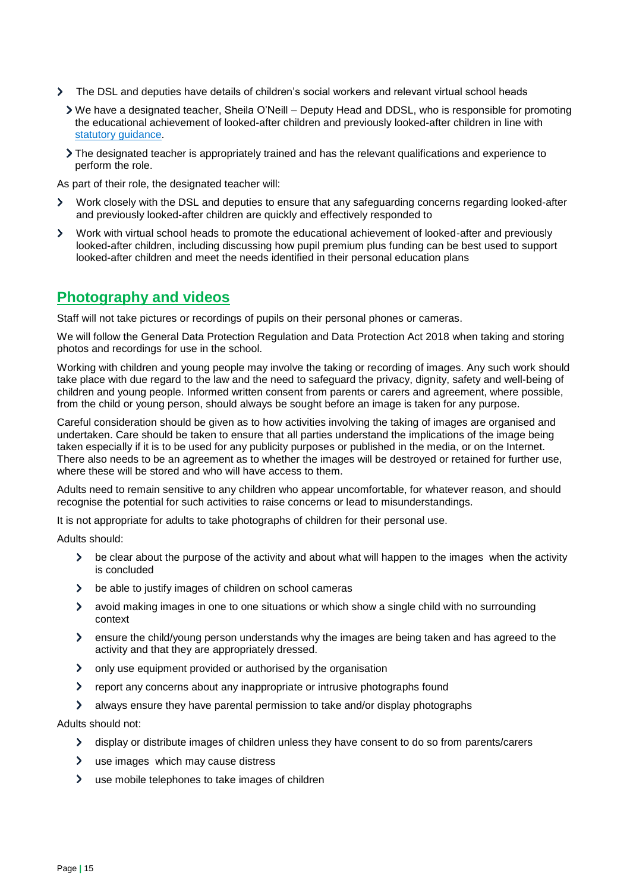- The DSL and deputies have details of children's social workers and relevant virtual school heads
	- We have a designated teacher, Sheila O'Neill Deputy Head and DDSL, who is responsible for promoting the educational achievement of looked-after children and previously looked-after children in line with [statutory guidance.](https://www.gov.uk/government/publications/designated-teacher-for-looked-after-children)
	- The designated teacher is appropriately trained and has the relevant qualifications and experience to perform the role.

As part of their role, the designated teacher will:

- $\overline{\phantom{0}}$ Work closely with the DSL and deputies to ensure that any safeguarding concerns regarding looked-after and previously looked-after children are quickly and effectively responded to
- $\blacktriangleright$ Work with virtual school heads to promote the educational achievement of looked-after and previously looked-after children, including discussing how pupil premium plus funding can be best used to support looked-after children and meet the needs identified in their personal education plans

# **Photography and videos**

Staff will not take pictures or recordings of pupils on their personal phones or cameras.

We will follow the General Data Protection Regulation and Data Protection Act 2018 when taking and storing photos and recordings for use in the school.

Working with children and young people may involve the taking or recording of images. Any such work should take place with due regard to the law and the need to safeguard the privacy, dignity, safety and well-being of children and young people. Informed written consent from parents or carers and agreement, where possible, from the child or young person, should always be sought before an image is taken for any purpose.

Careful consideration should be given as to how activities involving the taking of images are organised and undertaken. Care should be taken to ensure that all parties understand the implications of the image being taken especially if it is to be used for any publicity purposes or published in the media, or on the Internet. There also needs to be an agreement as to whether the images will be destroyed or retained for further use, where these will be stored and who will have access to them.

Adults need to remain sensitive to any children who appear uncomfortable, for whatever reason, and should recognise the potential for such activities to raise concerns or lead to misunderstandings.

It is not appropriate for adults to take photographs of children for their personal use.

Adults should:

- $\blacktriangleright$ be clear about the purpose of the activity and about what will happen to the images when the activity is concluded
- $\blacktriangleright$ be able to justify images of children on school cameras
- $\sum$ avoid making images in one to one situations or which show a single child with no surrounding context
- $\sum$ ensure the child/young person understands why the images are being taken and has agreed to the activity and that they are appropriately dressed.
- $\blacktriangleright$ only use equipment provided or authorised by the organisation
- $\blacktriangleright$ report any concerns about any inappropriate or intrusive photographs found
- always ensure they have parental permission to take and/or display photographs

Adults should not:

- $\blacktriangleright$ display or distribute images of children unless they have consent to do so from parents/carers
- $\sum$ use images which may cause distress
- $\blacktriangleright$ use mobile telephones to take images of children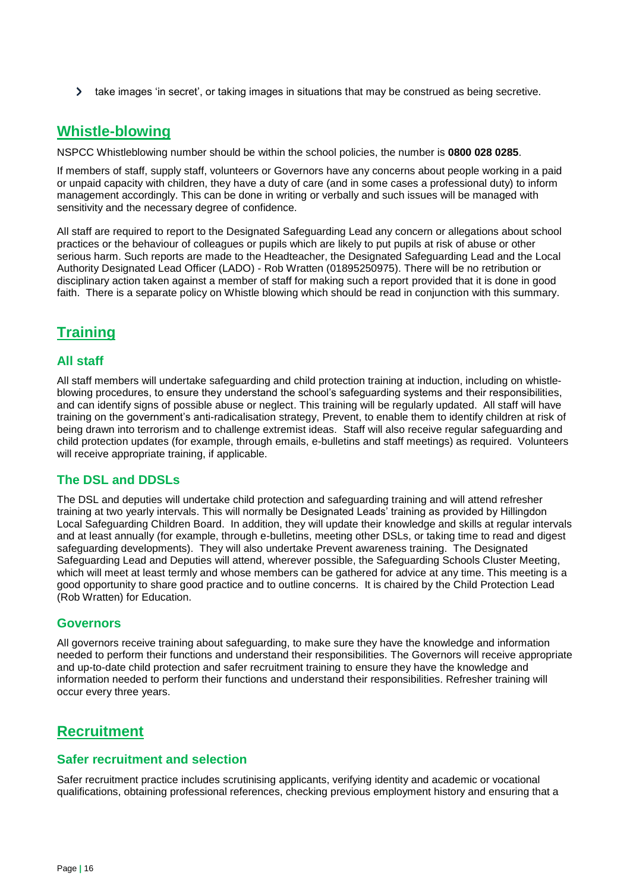$\blacktriangleright$  take images 'in secret', or taking images in situations that may be construed as being secretive.

# **Whistle-blowing**

NSPCC Whistleblowing number should be within the school policies, the number is **0800 028 0285**.

If members of staff, supply staff, volunteers or Governors have any concerns about people working in a paid or unpaid capacity with children, they have a duty of care (and in some cases a professional duty) to inform management accordingly. This can be done in writing or verbally and such issues will be managed with sensitivity and the necessary degree of confidence.

All staff are required to report to the Designated Safeguarding Lead any concern or allegations about school practices or the behaviour of colleagues or pupils which are likely to put pupils at risk of abuse or other serious harm. Such reports are made to the Headteacher, the Designated Safeguarding Lead and the Local Authority Designated Lead Officer (LADO) - Rob Wratten (01895250975). There will be no retribution or disciplinary action taken against a member of staff for making such a report provided that it is done in good faith. There is a separate policy on Whistle blowing which should be read in conjunction with this summary.

# **Training**

### **All staff**

All staff members will undertake safeguarding and child protection training at induction, including on whistleblowing procedures, to ensure they understand the school's safeguarding systems and their responsibilities, and can identify signs of possible abuse or neglect. This training will be regularly updated. All staff will have training on the government's anti-radicalisation strategy, Prevent, to enable them to identify children at risk of being drawn into terrorism and to challenge extremist ideas. Staff will also receive regular safeguarding and child protection updates (for example, through emails, e-bulletins and staff meetings) as required. Volunteers will receive appropriate training, if applicable.

### **The DSL and DDSLs**

The DSL and deputies will undertake child protection and safeguarding training and will attend refresher training at two yearly intervals. This will normally be Designated Leads' training as provided by Hillingdon Local Safeguarding Children Board. In addition, they will update their knowledge and skills at regular intervals and at least annually (for example, through e-bulletins, meeting other DSLs, or taking time to read and digest safeguarding developments). They will also undertake Prevent awareness training. The Designated Safeguarding Lead and Deputies will attend, wherever possible, the Safeguarding Schools Cluster Meeting, which will meet at least termly and whose members can be gathered for advice at any time. This meeting is a good opportunity to share good practice and to outline concerns. It is chaired by the Child Protection Lead (Rob Wratten) for Education.

#### **Governors**

All governors receive training about safeguarding, to make sure they have the knowledge and information needed to perform their functions and understand their responsibilities. The Governors will receive appropriate and up-to-date child protection and safer recruitment training to ensure they have the knowledge and information needed to perform their functions and understand their responsibilities. Refresher training will occur every three years.

### **Recruitment**

#### **Safer recruitment and selection**

Safer recruitment practice includes scrutinising applicants, verifying identity and academic or vocational qualifications, obtaining professional references, checking previous employment history and ensuring that a